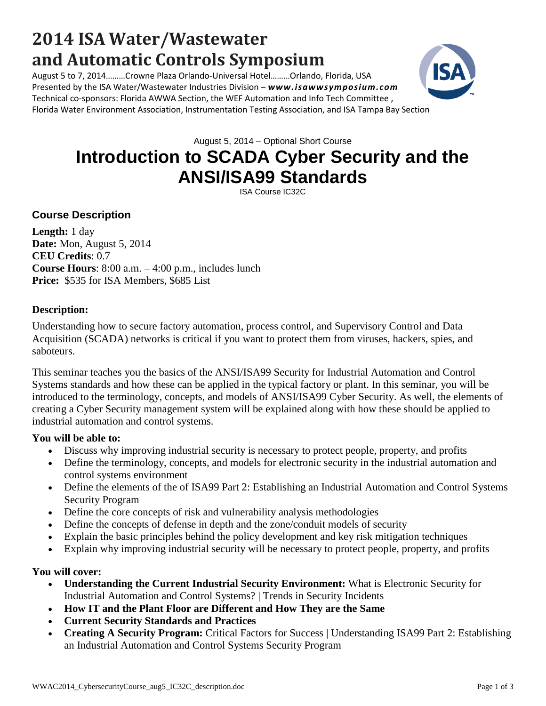# **2014 ISA Water/Wastewater and Automatic Controls Symposium**

August 5 to 7, 2014………Crowne Plaza Orlando-Universal Hotel………Orlando, Florida, USA Presented by the ISA Water/Wastewater Industries Division – *www.isawwsymposium.com* Technical co-sponsors: Florida AWWA Section, the WEF Automation and Info Tech Committee , Florida Water Environment Association, Instrumentation Testing Association, and ISA Tampa Bay Section

August 5, 2014 – Optional Short Course

# **Introduction to SCADA Cyber Security and the ANSI/ISA99 Standards**

ISA Course IC32C

## **Course Description**

**Length:** 1 day **Date:** Mon, August 5, 2014 **CEU Credits**: 0.7 **Course Hours**: 8:00 a.m. – 4:00 p.m., includes lunch **Price:** \$535 for ISA Members, \$685 List

#### **Description:**

Understanding how to secure factory automation, process control, and Supervisory Control and Data Acquisition (SCADA) networks is critical if you want to protect them from viruses, hackers, spies, and saboteurs.

This seminar teaches you the basics of the ANSI/ISA99 Security for Industrial Automation and Control Systems standards and how these can be applied in the typical factory or plant. In this seminar, you will be introduced to the terminology, concepts, and models of ANSI/ISA99 Cyber Security. As well, the elements of creating a Cyber Security management system will be explained along with how these should be applied to industrial automation and control systems.

#### **You will be able to:**

- Discuss why improving industrial security is necessary to protect people, property, and profits
- Define the terminology, concepts, and models for electronic security in the industrial automation and control systems environment
- Define the elements of the of ISA99 Part 2: Establishing an Industrial Automation and Control Systems Security Program
- Define the core concepts of risk and vulnerability analysis methodologies
- Define the concepts of defense in depth and the zone/conduit models of security
- Explain the basic principles behind the policy development and key risk mitigation techniques
- Explain why improving industrial security will be necessary to protect people, property, and profits

#### **You will cover:**

- **Understanding the Current Industrial Security Environment:** What is Electronic Security for Industrial Automation and Control Systems? | Trends in Security Incidents
- **How IT and the Plant Floor are Different and How They are the Same**
- **Current Security Standards and Practices**
- **Creating A Security Program:** Critical Factors for Success | Understanding ISA99 Part 2: Establishing an Industrial Automation and Control Systems Security Program

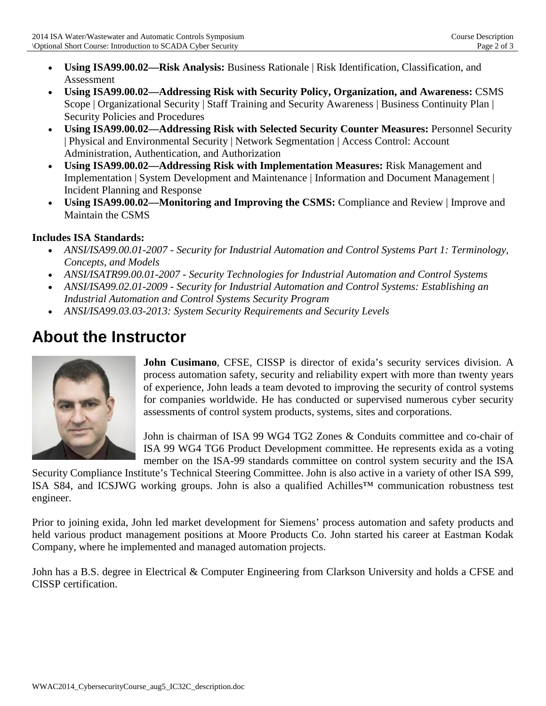- **Using ISA99.00.02—Risk Analysis:** Business Rationale | Risk Identification, Classification, and Assessment
- **Using ISA99.00.02—Addressing Risk with Security Policy, Organization, and Awareness:** CSMS Scope | Organizational Security | Staff Training and Security Awareness | Business Continuity Plan | Security Policies and Procedures
- **Using ISA99.00.02—Addressing Risk with Selected Security Counter Measures:** Personnel Security | Physical and Environmental Security | Network Segmentation | Access Control: Account Administration, Authentication, and Authorization
- **Using ISA99.00.02—Addressing Risk with Implementation Measures:** Risk Management and Implementation | System Development and Maintenance | Information and Document Management | Incident Planning and Response
- **Using ISA99.00.02—Monitoring and Improving the CSMS:** Compliance and Review | Improve and Maintain the CSMS

## **Includes ISA Standards:**

- *ANSI/ISA99.00.01-2007 Security for Industrial Automation and Control Systems Part 1: Terminology, Concepts, and Models*
- *ANSI/ISATR99.00.01-2007 Security Technologies for Industrial Automation and Control Systems*
- *ANSI/ISA99.02.01-2009 Security for Industrial Automation and Control Systems: Establishing an Industrial Automation and Control Systems Security Program*
- *ANSI/ISA99.03.03-2013: System Security Requirements and Security Levels*

# **About the Instructor**



**John Cusimano**, CFSE, CISSP is director of exida's security services division. A process automation safety, security and reliability expert with more than twenty years of experience, John leads a team devoted to improving the security of control systems for companies worldwide. He has conducted or supervised numerous cyber security assessments of control system products, systems, sites and corporations.

John is chairman of ISA 99 WG4 TG2 Zones & Conduits committee and co-chair of ISA 99 WG4 TG6 Product Development committee. He represents exida as a voting member on the ISA-99 standards committee on control system security and the ISA

Security Compliance Institute's Technical Steering Committee. John is also active in a variety of other ISA S99, ISA S84, and ICSJWG working groups. John is also a qualified Achilles™ communication robustness test engineer.

Prior to joining exida, John led market development for Siemens' process automation and safety products and held various product management positions at Moore Products Co. John started his career at Eastman Kodak Company, where he implemented and managed automation projects.

John has a B.S. degree in Electrical & Computer Engineering from Clarkson University and holds a CFSE and CISSP certification.